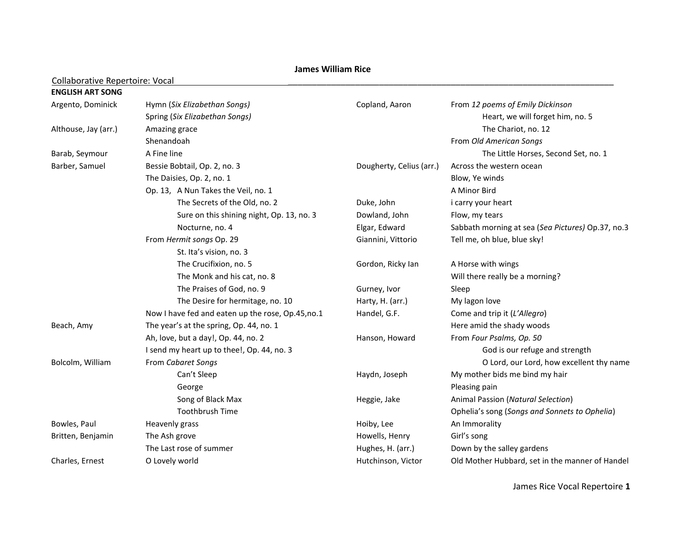## **James William Rice**

## Collaborative Repertoire: Vocal

| <b>ENGLISH ART SONG</b> |                                                  |                          |                                                   |
|-------------------------|--------------------------------------------------|--------------------------|---------------------------------------------------|
| Argento, Dominick       | Hymn (Six Elizabethan Songs)                     | Copland, Aaron           | From 12 poems of Emily Dickinson                  |
|                         | Spring (Six Elizabethan Songs)                   |                          | Heart, we will forget him, no. 5                  |
| Althouse, Jay (arr.)    | Amazing grace                                    |                          | The Chariot, no. 12                               |
|                         | Shenandoah                                       |                          | From Old American Songs                           |
| Barab, Seymour          | A Fine line                                      |                          | The Little Horses, Second Set, no. 1              |
| Barber, Samuel          | Bessie Bobtail, Op. 2, no. 3                     | Dougherty, Celius (arr.) | Across the western ocean                          |
|                         | The Daisies, Op. 2, no. 1                        |                          | Blow, Ye winds                                    |
|                         | Op. 13, A Nun Takes the Veil, no. 1              |                          | A Minor Bird                                      |
|                         | The Secrets of the Old, no. 2                    | Duke, John               | i carry your heart                                |
|                         | Sure on this shining night, Op. 13, no. 3        | Dowland, John            | Flow, my tears                                    |
|                         | Nocturne, no. 4                                  | Elgar, Edward            | Sabbath morning at sea (Sea Pictures) Op.37, no.3 |
|                         | From Hermit songs Op. 29                         | Giannini, Vittorio       | Tell me, oh blue, blue sky!                       |
|                         | St. Ita's vision, no. 3                          |                          |                                                   |
|                         | The Crucifixion, no. 5                           | Gordon, Ricky Ian        | A Horse with wings                                |
|                         | The Monk and his cat, no. 8                      |                          | Will there really be a morning?                   |
|                         | The Praises of God, no. 9                        | Gurney, Ivor             | Sleep                                             |
|                         | The Desire for hermitage, no. 10                 | Harty, H. (arr.)         | My lagon love                                     |
|                         | Now I have fed and eaten up the rose, Op.45,no.1 | Handel, G.F.             | Come and trip it (L'Allegro)                      |
| Beach, Amy              | The year's at the spring, Op. 44, no. 1          |                          | Here amid the shady woods                         |
|                         | Ah, love, but a day!, Op. 44, no. 2              | Hanson, Howard           | From Four Psalms, Op. 50                          |
|                         | I send my heart up to thee!, Op. 44, no. 3       |                          | God is our refuge and strength                    |
| Bolcolm, William        | From Cabaret Songs                               |                          | O Lord, our Lord, how excellent thy name          |
|                         | Can't Sleep                                      | Haydn, Joseph            | My mother bids me bind my hair                    |
|                         | George                                           |                          | Pleasing pain                                     |
|                         | Song of Black Max                                | Heggie, Jake             | Animal Passion (Natural Selection)                |
|                         | <b>Toothbrush Time</b>                           |                          | Ophelia's song (Songs and Sonnets to Ophelia)     |
| Bowles, Paul            | Heavenly grass                                   | Hoiby, Lee               | An Immorality                                     |
| Britten, Benjamin       | The Ash grove                                    | Howells, Henry           | Girl's song                                       |
|                         | The Last rose of summer                          | Hughes, H. (arr.)        | Down by the salley gardens                        |
| Charles, Ernest         | O Lovely world                                   | Hutchinson, Victor       | Old Mother Hubbard, set in the manner of Handel   |

James Rice Vocal Repertoire **1**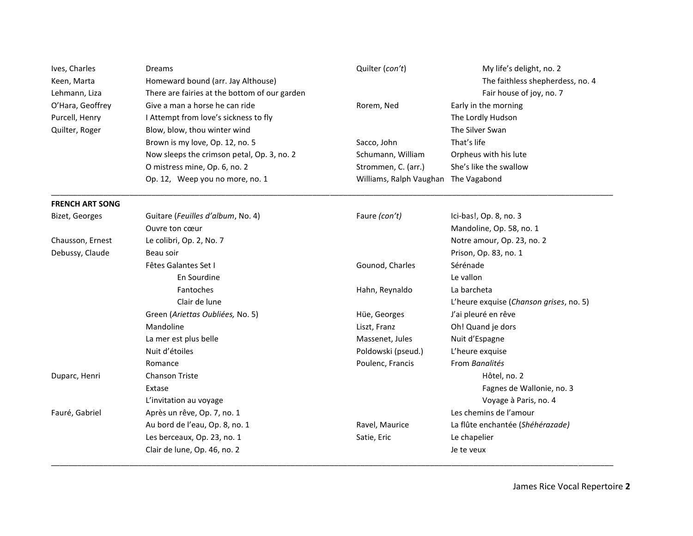| Ives, Charles<br>Keen, Marta<br>Lehmann, Liza | Dreams<br>Homeward bound (arr. Jay Althouse)<br>There are fairies at the bottom of our garden | Quilter (con't)         | My life's delight, no. 2<br>The faithless shepherdess, no. 4<br>Fair house of joy, no. 7 |
|-----------------------------------------------|-----------------------------------------------------------------------------------------------|-------------------------|------------------------------------------------------------------------------------------|
| O'Hara, Geoffrey                              | Give a man a horse he can ride                                                                | Rorem, Ned              | Early in the morning                                                                     |
| Purcell, Henry                                | I Attempt from love's sickness to fly                                                         |                         | The Lordly Hudson                                                                        |
| Quilter, Roger                                | Blow, blow, thou winter wind                                                                  |                         | The Silver Swan                                                                          |
|                                               | Brown is my love, Op. 12, no. 5                                                               | Sacco, John             | That's life                                                                              |
|                                               | Now sleeps the crimson petal, Op. 3, no. 2                                                    | Schumann, William       | Orpheus with his lute                                                                    |
|                                               | O mistress mine, Op. 6, no. 2                                                                 | Strommen, C. (arr.)     | She's like the swallow                                                                   |
|                                               | Op. 12, Weep you no more, no. 1                                                               | Williams, Ralph Vaughan | The Vagabond                                                                             |
| <b>FRENCH ART SONG</b>                        |                                                                                               |                         |                                                                                          |
| Bizet, Georges                                | Guitare (Feuilles d'album, No. 4)                                                             | Faure (con't)           | Ici-bas!, Op. 8, no. 3                                                                   |
|                                               | Ouvre ton cœur                                                                                |                         | Mandoline, Op. 58, no. 1                                                                 |
| Chausson, Ernest                              | Le colibri, Op. 2, No. 7                                                                      |                         | Notre amour, Op. 23, no. 2                                                               |
| Debussy, Claude                               | Beau soir                                                                                     |                         | Prison, Op. 83, no. 1                                                                    |
|                                               | Fêtes Galantes Set I                                                                          | Gounod, Charles         | Sérénade                                                                                 |
|                                               | En Sourdine                                                                                   |                         | Le vallon                                                                                |
|                                               | Fantoches                                                                                     | Hahn, Reynaldo          | La barcheta                                                                              |
|                                               | Clair de lune                                                                                 |                         | L'heure exquise (Chanson grises, no. 5)                                                  |
|                                               | Green (Ariettas Oubliées, No. 5)                                                              | Hüe, Georges            | J'ai pleuré en rêve                                                                      |
|                                               | Mandoline                                                                                     | Liszt, Franz            | Oh! Quand je dors                                                                        |
|                                               | La mer est plus belle                                                                         | Massenet, Jules         | Nuit d'Espagne                                                                           |
|                                               | Nuit d'étoiles                                                                                | Poldowski (pseud.)      | L'heure exquise                                                                          |
|                                               | Romance                                                                                       | Poulenc, Francis        | From Banalités                                                                           |
| Duparc, Henri                                 | <b>Chanson Triste</b>                                                                         |                         | Hôtel, no. 2                                                                             |
|                                               | Extase                                                                                        |                         | Fagnes de Wallonie, no. 3                                                                |
|                                               | L'invitation au voyage                                                                        |                         | Voyage à Paris, no. 4                                                                    |
| Fauré, Gabriel                                | Après un rêve, Op. 7, no. 1                                                                   |                         | Les chemins de l'amour                                                                   |
|                                               | Au bord de l'eau, Op. 8, no. 1                                                                | Ravel, Maurice          | La flûte enchantée (Shéhérazade)                                                         |
|                                               | Les berceaux, Op. 23, no. 1                                                                   | Satie, Eric             | Le chapelier                                                                             |
|                                               | Clair de lune, Op. 46, no. 2                                                                  |                         | Je te veux                                                                               |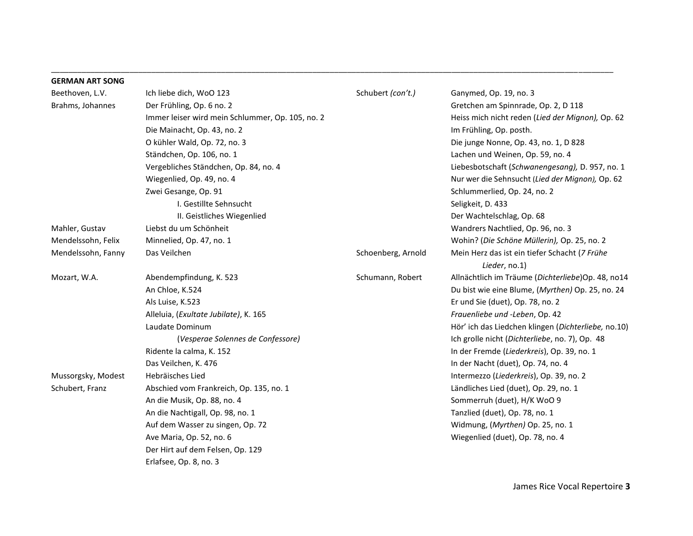| <b>GERMAN ART SONG</b> |                                                  |                    |                                                     |
|------------------------|--------------------------------------------------|--------------------|-----------------------------------------------------|
| Beethoven, L.V.        | Ich liebe dich, WoO 123                          | Schubert (con't.)  | Ganymed, Op. 19, no. 3                              |
| Brahms, Johannes       | Der Frühling, Op. 6 no. 2                        |                    | Gretchen am Spinnrade, Op. 2, D 118                 |
|                        | Immer leiser wird mein Schlummer, Op. 105, no. 2 |                    | Heiss mich nicht reden (Lied der Mignon), Op. 62    |
|                        | Die Mainacht, Op. 43, no. 2                      |                    | Im Frühling, Op. posth.                             |
|                        | O kühler Wald, Op. 72, no. 3                     |                    | Die junge Nonne, Op. 43, no. 1, D 828               |
|                        | Ständchen, Op. 106, no. 1                        |                    | Lachen und Weinen, Op. 59, no. 4                    |
|                        | Vergebliches Ständchen, Op. 84, no. 4            |                    | Liebesbotschaft (Schwanengesang), D. 957, no. 1     |
|                        | Wiegenlied, Op. 49, no. 4                        |                    | Nur wer die Sehnsucht (Lied der Mignon), Op. 62     |
|                        | Zwei Gesange, Op. 91                             |                    | Schlummerlied, Op. 24, no. 2                        |
|                        | I. Gestillte Sehnsucht                           |                    | Seligkeit, D. 433                                   |
|                        | II. Geistliches Wiegenlied                       |                    | Der Wachtelschlag, Op. 68                           |
| Mahler, Gustav         | Liebst du um Schönheit                           |                    | Wandrers Nachtlied, Op. 96, no. 3                   |
| Mendelssohn, Felix     | Minnelied, Op. 47, no. 1                         |                    | Wohin? (Die Schöne Müllerin), Op. 25, no. 2         |
| Mendelssohn, Fanny     | Das Veilchen                                     | Schoenberg, Arnold | Mein Herz das ist ein tiefer Schacht (7 Frühe       |
|                        |                                                  |                    | Lieder, no.1)                                       |
| Mozart, W.A.           | Abendempfindung, K. 523                          | Schumann, Robert   | Allnächtlich im Träume (Dichterliebe)Op. 48, no14   |
|                        | An Chloe, K.524                                  |                    | Du bist wie eine Blume, (Myrthen) Op. 25, no. 24    |
|                        | Als Luise, K.523                                 |                    | Er und Sie (duet), Op. 78, no. 2                    |
|                        | Alleluia, (Exultate Jubilate), K. 165            |                    | Frauenliebe und -Leben, Op. 42                      |
|                        | Laudate Dominum                                  |                    | Hör' ich das Liedchen klingen (Dichterliebe, no.10) |
|                        | (Vesperae Solennes de Confessore)                |                    | Ich grolle nicht (Dichterliebe, no. 7), Op. 48      |
|                        | Ridente la calma, K. 152                         |                    | In der Fremde (Liederkreis), Op. 39, no. 1          |
|                        | Das Veilchen, K. 476                             |                    | In der Nacht (duet), Op. 74, no. 4                  |
| Mussorgsky, Modest     | Hebräisches Lied                                 |                    | Intermezzo (Liederkreis), Op. 39, no. 2             |
| Schubert, Franz        | Abschied vom Frankreich, Op. 135, no. 1          |                    | Ländliches Lied (duet), Op. 29, no. 1               |
|                        | An die Musik, Op. 88, no. 4                      |                    | Sommerruh (duet), H/K WoO 9                         |
|                        | An die Nachtigall, Op. 98, no. 1                 |                    | Tanzlied (duet), Op. 78, no. 1                      |
|                        | Auf dem Wasser zu singen, Op. 72                 |                    | Widmung, (Myrthen) Op. 25, no. 1                    |
|                        | Ave Maria, Op. 52, no. 6                         |                    | Wiegenlied (duet), Op. 78, no. 4                    |
|                        | Der Hirt auf dem Felsen, Op. 129                 |                    |                                                     |
|                        | Erlafsee, Op. 8, no. 3                           |                    |                                                     |

\_\_\_\_\_\_\_\_\_\_\_\_\_\_\_\_\_\_\_\_\_\_\_\_\_\_\_\_\_\_\_\_\_\_\_\_\_\_\_\_\_\_\_\_\_\_\_\_\_\_\_\_\_\_\_\_\_\_\_\_\_\_\_\_\_\_\_\_\_\_\_\_\_\_\_\_\_\_\_\_\_\_\_\_\_\_\_\_\_\_\_\_\_\_\_\_\_\_\_\_\_\_\_\_\_\_\_\_\_\_\_\_\_\_\_\_\_\_\_\_\_\_\_\_\_\_\_\_\_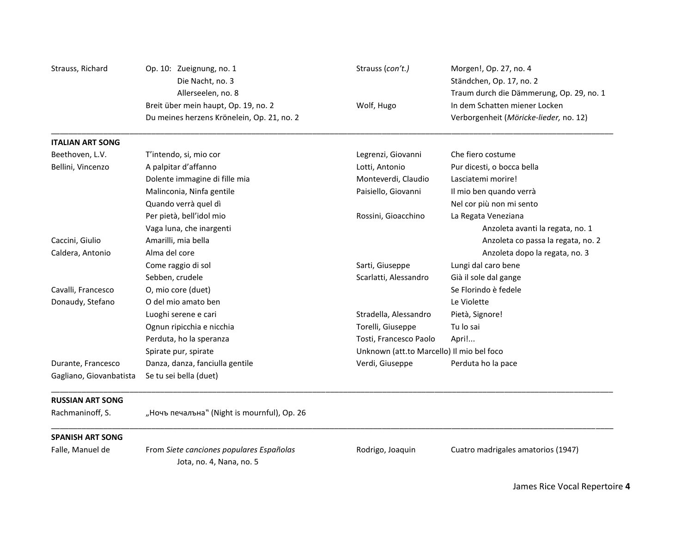| Strauss, Richard        | Op. 10: Zueignung, no. 1                                             | Strauss (con't.)                          | Morgen!, Op. 27, no. 4                   |
|-------------------------|----------------------------------------------------------------------|-------------------------------------------|------------------------------------------|
|                         | Die Nacht, no. 3                                                     |                                           | Ständchen, Op. 17, no. 2                 |
|                         | Allerseelen, no. 8                                                   |                                           | Traum durch die Dämmerung, Op. 29, no. 1 |
|                         | Breit über mein haupt, Op. 19, no. 2                                 | Wolf, Hugo                                | In dem Schatten miener Locken            |
|                         | Du meines herzens Krönelein, Op. 21, no. 2                           |                                           | Verborgenheit (Möricke-lieder, no. 12)   |
| <b>ITALIAN ART SONG</b> |                                                                      |                                           |                                          |
| Beethoven, L.V.         | T'intendo, si, mio cor                                               | Legrenzi, Giovanni                        | Che fiero costume                        |
| Bellini, Vincenzo       | A palpitar d'affanno                                                 | Lotti, Antonio                            | Pur dicesti, o bocca bella               |
|                         | Dolente immagine di fille mia                                        | Monteverdi, Claudio                       | Lasciatemi morire!                       |
|                         | Malinconia, Ninfa gentile                                            | Paisiello, Giovanni                       | Il mio ben quando verrà                  |
|                         | Quando verrà quel dì                                                 |                                           | Nel cor più non mi sento                 |
|                         | Per pietà, bell'idol mio                                             | Rossini, Gioacchino                       | La Regata Veneziana                      |
|                         | Vaga luna, che inargenti                                             |                                           | Anzoleta avanti la regata, no. 1         |
| Caccini, Giulio         | Amarilli, mia bella                                                  |                                           | Anzoleta co passa la regata, no. 2       |
| Caldera, Antonio        | Alma del core                                                        |                                           | Anzoleta dopo la regata, no. 3           |
|                         | Come raggio di sol                                                   | Sarti, Giuseppe                           | Lungi dal caro bene                      |
|                         | Sebben, crudele                                                      | Scarlatti, Alessandro                     | Già il sole dal gange                    |
| Cavalli, Francesco      | O, mio core (duet)                                                   |                                           | Se Florindo è fedele                     |
| Donaudy, Stefano        | O del mio amato ben                                                  |                                           | Le Violette                              |
|                         | Luoghi serene e cari                                                 | Stradella, Alessandro                     | Pietà, Signore!                          |
|                         | Ognun ripicchia e nicchia                                            | Torelli, Giuseppe                         | Tu lo sai                                |
|                         | Perduta, ho la speranza                                              | Tosti, Francesco Paolo                    | Apri!                                    |
|                         | Spirate pur, spirate                                                 | Unknown (att.to Marcello) Il mio bel foco |                                          |
| Durante, Francesco      | Danza, danza, fanciulla gentile                                      | Verdi, Giuseppe                           | Perduta ho la pace                       |
| Gagliano, Giovanbatista | Se tu sei bella (duet)                                               |                                           |                                          |
| <b>RUSSIAN ART SONG</b> |                                                                      |                                           |                                          |
| Rachmaninoff, S.        | "Ночъ печалъна" (Night is mournful), Op. 26                          |                                           |                                          |
| <b>SPANISH ART SONG</b> |                                                                      |                                           |                                          |
| Falle, Manuel de        | From Siete canciones populares Españolas<br>Jota, no. 4, Nana, no. 5 | Rodrigo, Joaquin                          | Cuatro madrigales amatorios (1947)       |

James Rice Vocal Repertoire **4**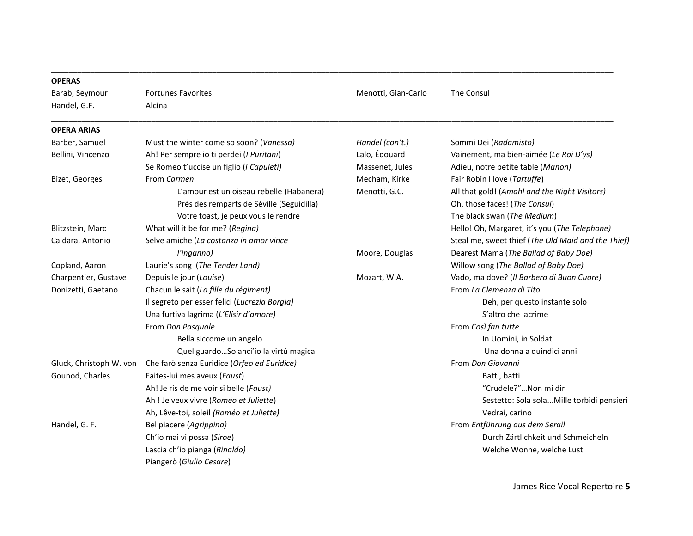| <b>OPERAS</b>           |                                               |                     |                                                    |
|-------------------------|-----------------------------------------------|---------------------|----------------------------------------------------|
| Barab, Seymour          | <b>Fortunes Favorites</b>                     | Menotti, Gian-Carlo | The Consul                                         |
| Handel, G.F.            | Alcina                                        |                     |                                                    |
| <b>OPERA ARIAS</b>      |                                               |                     |                                                    |
| Barber, Samuel          | Must the winter come so soon? (Vanessa)       | Handel (con't.)     | Sommi Dei (Radamisto)                              |
| Bellini, Vincenzo       | Ah! Per sempre io ti perdei (I Puritani)      | Lalo, Édouard       | Vainement, ma bien-aimée (Le Roi D'ys)             |
|                         | Se Romeo t'uccise un figlio (I Capuleti)      | Massenet, Jules     | Adieu, notre petite table (Manon)                  |
| Bizet, Georges          | From Carmen                                   | Mecham, Kirke       | Fair Robin I love (Tartuffe)                       |
|                         | L'amour est un oiseau rebelle (Habanera)      | Menotti, G.C.       | All that gold! (Amahl and the Night Visitors)      |
|                         | Près des remparts de Séville (Seguidilla)     |                     | Oh, those faces! (The Consul)                      |
|                         | Votre toast, je peux vous le rendre           |                     | The black swan (The Medium)                        |
| Blitzstein, Marc        | What will it be for me? (Regina)              |                     | Hello! Oh, Margaret, it's you (The Telephone)      |
| Caldara, Antonio        | Selve amiche (La costanza in amor vince       |                     | Steal me, sweet thief (The Old Maid and the Thief) |
|                         | l'inganno)                                    | Moore, Douglas      | Dearest Mama (The Ballad of Baby Doe)              |
| Copland, Aaron          | Laurie's song (The Tender Land)               |                     | Willow song (The Ballad of Baby Doe)               |
| Charpentier, Gustave    | Depuis le jour (Louise)                       | Mozart, W.A.        | Vado, ma dove? (Il Barbero di Buon Cuore)          |
| Donizetti, Gaetano      | Chacun le sait (La fille du régiment)         |                     | From La Clemenza di Tito                           |
|                         | Il segreto per esser felici (Lucrezia Borgia) |                     | Deh, per questo instante solo                      |
|                         | Una furtiva lagrima (L'Elisir d'amore)        |                     | S'altro che lacrime                                |
|                         | From Don Pasquale                             |                     | From Così fan tutte                                |
|                         | Bella siccome un angelo                       |                     | In Uomini, in Soldati                              |
|                         | Quel guardoSo anci'io la virtù magica         |                     | Una donna a quindici anni                          |
| Gluck, Christoph W. von | Che farò senza Euridice (Orfeo ed Euridice)   |                     | From Don Giovanni                                  |
| Gounod, Charles         | Faites-lui mes aveux (Faust)                  |                     | Batti, batti                                       |
|                         | Ah! Je ris de me voir si belle (Faust)        |                     | "Crudele?"Non mi dir                               |
|                         | Ah ! Je veux vivre (Roméo et Juliette)        |                     | Sestetto: Sola solaMille torbidi pensieri          |
|                         | Ah, Lêve-toi, soleil (Roméo et Juliette)      |                     | Vedrai, carino                                     |
| Handel, G. F.           | Bel piacere (Agrippina)                       |                     | From Entführung aus dem Serail                     |
|                         | Ch'io mai vi possa (Siroe)                    |                     | Durch Zärtlichkeit und Schmeicheln                 |
|                         | Lascia ch'io pianga (Rinaldo)                 |                     | Welche Wonne, welche Lust                          |
|                         | Piangerò (Giulio Cesare)                      |                     |                                                    |

\_\_\_\_\_\_\_\_\_\_\_\_\_\_\_\_\_\_\_\_\_\_\_\_\_\_\_\_\_\_\_\_\_\_\_\_\_\_\_\_\_\_\_\_\_\_\_\_\_\_\_\_\_\_\_\_\_\_\_\_\_\_\_\_\_\_\_\_\_\_\_\_\_\_\_\_\_\_\_\_\_\_\_\_\_\_\_\_\_\_\_\_\_\_\_\_\_\_\_\_\_\_\_\_\_\_\_\_\_\_\_\_\_\_\_\_\_\_\_\_\_\_\_\_\_\_\_\_\_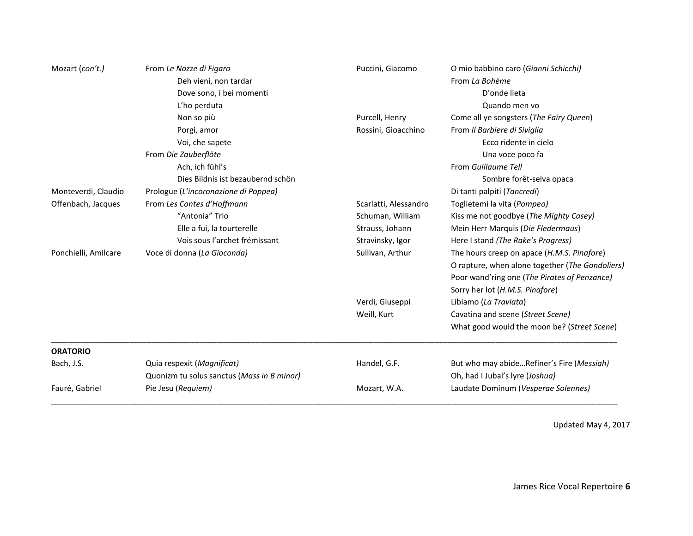|                      | Deh vieni, non tardar<br>Dove sono, i bei momenti |                       | From La Bohème                                  |
|----------------------|---------------------------------------------------|-----------------------|-------------------------------------------------|
|                      |                                                   |                       |                                                 |
|                      |                                                   |                       | D'onde lieta                                    |
|                      | L'ho perduta                                      |                       | Quando men vo                                   |
|                      | Non so più                                        | Purcell, Henry        | Come all ye songsters (The Fairy Queen)         |
|                      | Porgi, amor                                       | Rossini, Gioacchino   | From Il Barbiere di Siviglia                    |
|                      | Voi, che sapete                                   |                       | Ecco ridente in cielo                           |
|                      | From Die Zauberflöte                              |                       | Una voce poco fa                                |
|                      | Ach, ich fühl's                                   |                       | From Guillaume Tell                             |
|                      | Dies Bildnis ist bezaubernd schön                 |                       | Sombre forêt-selva opaca                        |
| Monteverdi, Claudio  | Prologue (L'incoronazione di Poppea)              |                       | Di tanti palpiti (Tancredi)                     |
| Offenbach, Jacques   | From Les Contes d'Hoffmann                        | Scarlatti, Alessandro | Toglietemi la vita (Pompeo)                     |
|                      | "Antonia" Trio                                    | Schuman, William      | Kiss me not goodbye (The Mighty Casey)          |
|                      | Elle a fui, la tourterelle                        | Strauss, Johann       | Mein Herr Marquis (Die Fledermaus)              |
|                      | Vois sous l'archet frémissant                     | Stravinsky, Igor      | Here I stand (The Rake's Progress)              |
| Ponchielli, Amilcare | Voce di donna (La Gioconda)                       | Sullivan, Arthur      | The hours creep on apace (H.M.S. Pinafore)      |
|                      |                                                   |                       | O rapture, when alone together (The Gondoliers) |
|                      |                                                   |                       | Poor wand'ring one (The Pirates of Penzance)    |
|                      |                                                   |                       | Sorry her lot (H.M.S. Pinafore)                 |
|                      |                                                   | Verdi, Giuseppi       | Libiamo (La Traviata)                           |
|                      |                                                   | Weill, Kurt           | Cavatina and scene (Street Scene)               |
|                      |                                                   |                       | What good would the moon be? (Street Scene)     |
| <b>ORATORIO</b>      |                                                   |                       |                                                 |
| Bach, J.S.           | Quia respexit (Magnificat)                        | Handel, G.F.          | But who may abideRefiner's Fire (Messiah)       |
|                      | Quonizm tu solus sanctus (Mass in B minor)        |                       | Oh, had I Jubal's lyre (Joshua)                 |
| Fauré, Gabriel       | Pie Jesu (Requiem)                                | Mozart, W.A.          | Laudate Dominum (Vesperae Solennes)             |

Updated May 4, 2017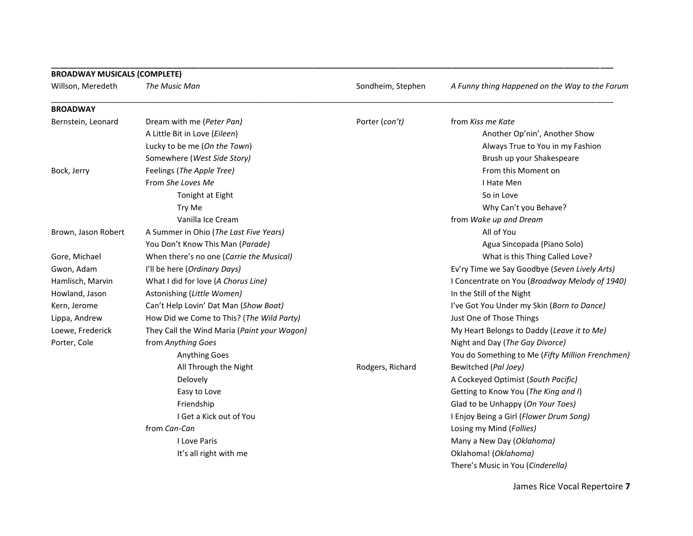| <b>BROADWAY MUSICALS (COMPLETE)</b> |                                             |                   |                                                  |
|-------------------------------------|---------------------------------------------|-------------------|--------------------------------------------------|
| Willson, Meredeth                   | The Music Man                               | Sondheim, Stephen | A Funny thing Happened on the Way to the Forum   |
| <b>BROADWAY</b>                     |                                             |                   |                                                  |
| Bernstein, Leonard                  | Dream with me (Peter Pan)                   | Porter (con't)    | from Kiss me Kate                                |
|                                     | A Little Bit in Love (Eileen)               |                   | Another Op'nin', Another Show                    |
|                                     | Lucky to be me (On the Town)                |                   | Always True to You in my Fashion                 |
|                                     | Somewhere (West Side Story)                 |                   | Brush up your Shakespeare                        |
| Bock, Jerry                         | Feelings (The Apple Tree)                   |                   | From this Moment on                              |
|                                     | From She Loves Me                           |                   | I Hate Men                                       |
|                                     | Tonight at Eight                            |                   | So in Love                                       |
|                                     | Try Me                                      |                   | Why Can't you Behave?                            |
|                                     | Vanilla Ice Cream                           |                   | from Wake up and Dream                           |
| Brown, Jason Robert                 | A Summer in Ohio (The Last Five Years)      |                   | All of You                                       |
|                                     | You Don't Know This Man (Parade)            |                   | Agua Sincopada (Piano Solo)                      |
| Gore, Michael                       | When there's no one (Carrie the Musical)    |                   | What is this Thing Called Love?                  |
| Gwon, Adam                          | I'll be here (Ordinary Days)                |                   | Ev'ry Time we Say Goodbye (Seven Lively Arts)    |
| Hamlisch, Marvin                    | What I did for love (A Chorus Line)         |                   | I Concentrate on You (Broadway Melody of 1940)   |
| Howland, Jason                      | Astonishing (Little Women)                  |                   | In the Still of the Night                        |
| Kern, Jerome                        | Can't Help Lovin' Dat Man (Show Boat)       |                   | I've Got You Under my Skin (Born to Dance)       |
| Lippa, Andrew                       | How Did we Come to This? (The Wild Party)   |                   | Just One of Those Things                         |
| Loewe, Frederick                    | They Call the Wind Maria (Paint your Wagon) |                   | My Heart Belongs to Daddy (Leave it to Me)       |
| Porter, Cole                        | from Anything Goes                          |                   | Night and Day (The Gay Divorce)                  |
|                                     | Anything Goes                               |                   | You do Something to Me (Fifty Million Frenchmen) |
|                                     | All Through the Night                       | Rodgers, Richard  | Bewitched (Pal Joey)                             |
|                                     | Delovely                                    |                   | A Cockeyed Optimist (South Pacific)              |
|                                     | Easy to Love                                |                   | Getting to Know You (The King and I)             |
|                                     | Friendship                                  |                   | Glad to be Unhappy (On Your Toes)                |
|                                     | I Get a Kick out of You                     |                   | I Enjoy Being a Girl (Flower Drum Song)          |
|                                     | from Can-Can                                |                   | Losing my Mind (Follies)                         |
|                                     | I Love Paris                                |                   | Many a New Day (Oklahoma)                        |
|                                     | It's all right with me                      |                   | Oklahoma! (Oklahoma)                             |
|                                     |                                             |                   | There's Music in You (Cinderella)                |

**\_\_\_\_\_\_\_\_\_\_\_\_\_\_\_\_\_\_\_\_\_\_\_\_\_\_\_\_\_\_\_\_\_\_\_\_\_\_\_\_\_\_\_\_\_\_\_\_\_\_\_\_\_\_\_\_\_\_\_\_\_\_\_\_\_\_\_\_\_\_\_\_\_\_\_\_\_\_\_\_\_\_\_\_\_\_\_\_\_\_\_\_\_\_\_\_\_\_\_\_\_\_\_\_\_\_\_\_\_\_\_\_\_\_\_\_\_\_\_\_\_\_\_\_\_\_\_\_\_**

James Rice Vocal Repertoire **7**